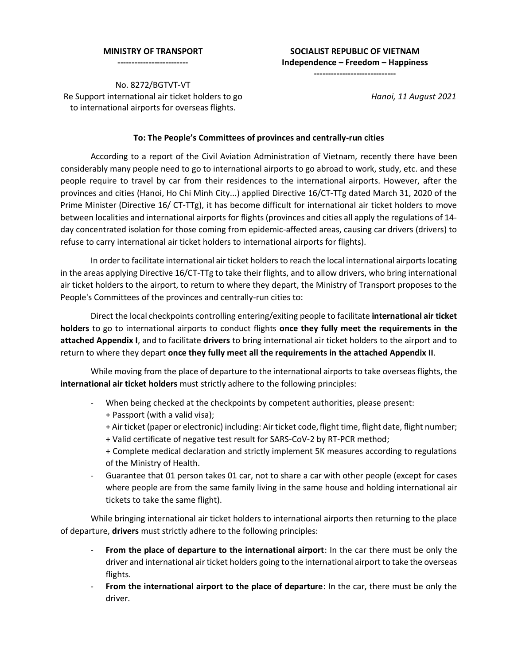#### **MINISTRY OF TRANSPORT**

**-------------------------**

# **SOCIALIST REPUBLIC OF VIETNAM Independence – Freedom – Happiness**

**-----------------------------**

No. 8272/BGTVT-VT Re Support international air ticket holders to go to international airports for overseas flights.

*Hanoi, 11 August 2021*

# **To: The People's Committees of provinces and centrally-run cities**

According to a report of the Civil Aviation Administration of Vietnam, recently there have been considerably many people need to go to international airports to go abroad to work, study, etc. and these people require to travel by car from their residences to the international airports. However, after the provinces and cities (Hanoi, Ho Chi Minh City...) applied Directive 16/CT-TTg dated March 31, 2020 of the Prime Minister (Directive 16/ CT-TTg), it has become difficult for international air ticket holders to move between localities and international airports for flights (provinces and cities all apply the regulations of 14 day concentrated isolation for those coming from epidemic-affected areas, causing car drivers (drivers) to refuse to carry international air ticket holders to international airports for flights).

In order to facilitate international air ticket holders to reach the local international airports locating in the areas applying Directive 16/CT-TTg to take their flights, and to allow drivers, who bring international air ticket holders to the airport, to return to where they depart, the Ministry of Transport proposes to the People's Committees of the provinces and centrally-run cities to:

Direct the local checkpoints controlling entering/exiting people to facilitate **international air ticket holders** to go to international airports to conduct flights **once they fully meet the requirements in the attached Appendix I**, and to facilitate **drivers** to bring international air ticket holders to the airport and to return to where they depart **once they fully meet all the requirements in the attached Appendix II**.

While moving from the place of departure to the international airports to take overseas flights, the **international air ticket holders** must strictly adhere to the following principles:

- When being checked at the checkpoints by competent authorities, please present:
	- + Passport (with a valid visa);
	- + Air ticket (paper or electronic) including: Air ticket code, flight time, flight date, flight number;
	- + Valid certificate of negative test result for SARS-CoV-2 by RT-PCR method;
	- + Complete medical declaration and strictly implement 5K measures according to regulations of the Ministry of Health.
- Guarantee that 01 person takes 01 car, not to share a car with other people (except for cases where people are from the same family living in the same house and holding international air tickets to take the same flight).

While bringing international air ticket holders to international airports then returning to the place of departure, **drivers** must strictly adhere to the following principles:

- **From the place of departure to the international airport**: In the car there must be only the driver and international air ticket holders going to the international airport to take the overseas flights.
- **From the international airport to the place of departure**: In the car, there must be only the driver.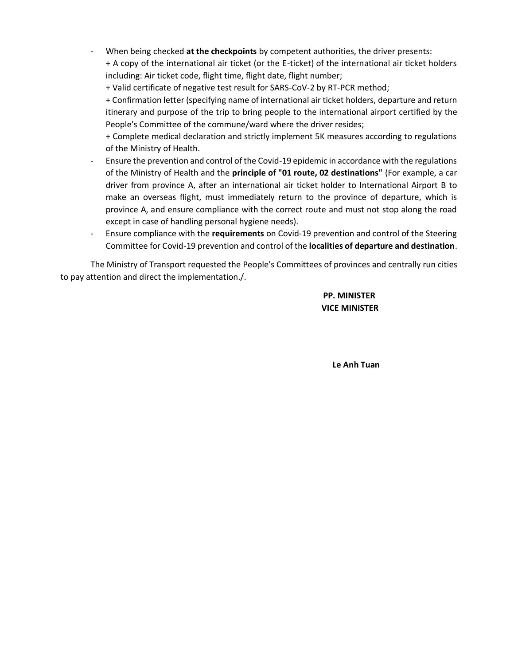- When being checked at the checkpoints by competent authorities, the driver presents: + A copy of the international air ticket (or the E-ticket) of the international air ticket holders including: Air ticket code, flight time, flight date, flight number;
	- + Valid certificate of negative test result for SARS-CoV-2 by RT-PCR method;

+ Confirmation letter (specifying name of international air ticket holders, departure and return itinerary and purpose of the trip to bring people to the international airport certified by the People's Committee of the commune/ward where the driver resides;

- + Complete medical declaration and strictly implement 5K measures according to regulations of the Ministry of Health.
- Ensure the prevention and control of the Covid-19 epidemic in accordance with the regulations of the Ministry of Health and the **principle of "01 route, 02 destinations"** (For example, a car driver from province A, after an international air ticket holder to International Airport B to make an overseas flight, must immediately return to the province of departure, which is province A, and ensure compliance with the correct route and must not stop along the road except in case of handling personal hygiene needs).
- Ensure compliance with the **requirements** on Covid-19 prevention and control of the Steering Committee for Covid-19 prevention and control of the **localities of departure and destination**.

The Ministry of Transport requested the People's Committees of provinces and centrally run cities to pay attention and direct the implementation./.

# **PP. MINISTER VICE MINISTER**

**Le Anh Tuan**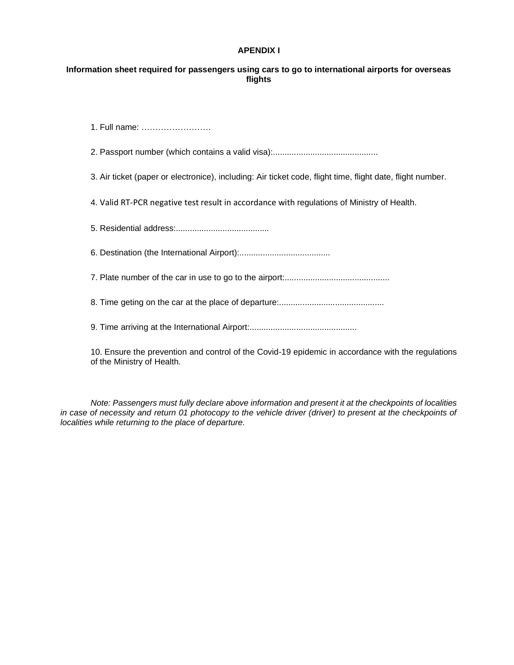## **APENDIX I**

# **Information sheet required for passengers using cars to go to international airports for overseas flights**

1. Full name: …………………….

2. Passport number (which contains a valid visa):.............................................

3. Air ticket (paper or electronice), including: Air ticket code, flight time, flight date, flight number.

4. Valid RT-PCR negative test result in accordance with regulations of Ministry of Health.

5. Residential address:........................................

6. Destination (the International Airport):.......................................

7. Plate number of the car in use to go to the airport:.............................................

8. Time geting on the car at the place of departure:.............................................

9. Time arriving at the International Airport:..............................................

10. Ensure the prevention and control of the Covid-19 epidemic in accordance with the regulations of the Ministry of Health.

*Note: Passengers must fully declare above information and present it at the checkpoints of localities in case of necessity and return 01 photocopy to the vehicle driver (driver) to present at the checkpoints of localities while returning to the place of departure.*